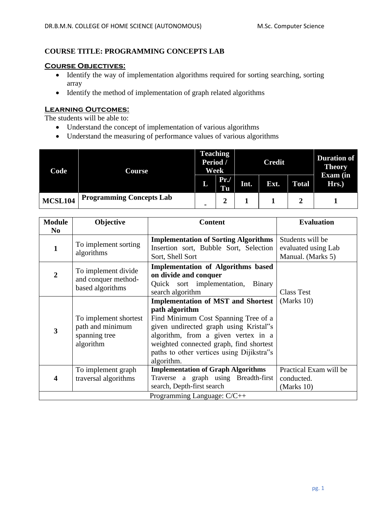# **COURSE TITLE: PROGRAMMING CONCEPTS LAB**

# **Course Objectives:**

- Identify the way of implementation algorithms required for sorting searching, sorting array
- Identify the method of implementation of graph related algorithms

# **Learning Outcomes:**

The students will be able to:

- Understand the concept of implementation of various algorithms
- Understand the measuring of performance values of various algorithms

| Code           | Course                          | <b>Teaching</b><br>Period /<br>Week |           | <b>Credit</b> |      |              | <b>Duration of</b><br><b>Theory</b> |
|----------------|---------------------------------|-------------------------------------|-----------|---------------|------|--------------|-------------------------------------|
|                |                                 | И                                   | Pr.<br>Tu | Int.          | Ext. | <b>Total</b> | Exam (in<br>Hrs.)                   |
| <b>MCSL104</b> | <b>Programming Concepts Lab</b> |                                     |           |               |      |              |                                     |

| <b>Module</b>               | Objective                               | <b>Content</b>                              | <b>Evaluation</b>      |  |  |  |
|-----------------------------|-----------------------------------------|---------------------------------------------|------------------------|--|--|--|
| N <sub>0</sub>              |                                         |                                             |                        |  |  |  |
|                             | To implement sorting<br>algorithms      | <b>Implementation of Sorting Algorithms</b> | Students will be       |  |  |  |
|                             |                                         | Insertion sort, Bubble Sort, Selection      | evaluated using Lab    |  |  |  |
|                             |                                         | Sort, Shell Sort                            | Manual. (Marks 5)      |  |  |  |
|                             |                                         | <b>Implementation of Algorithms based</b>   |                        |  |  |  |
| 2                           | To implement divide                     | on divide and conquer                       |                        |  |  |  |
|                             | and conquer method-<br>based algorithms | Quick sort implementation,<br>Binary        |                        |  |  |  |
|                             |                                         | search algorithm                            | <b>Class Test</b>      |  |  |  |
|                             |                                         | <b>Implementation of MST and Shortest</b>   | (Marks $10$ )          |  |  |  |
|                             |                                         | path algorithm                              |                        |  |  |  |
| 3                           | To implement shortest                   | Find Minimum Cost Spanning Tree of a        |                        |  |  |  |
|                             | path and minimum                        | given undirected graph using Kristal"s      |                        |  |  |  |
|                             | spanning tree                           | algorithm, from a given vertex in a         |                        |  |  |  |
|                             | algorithm                               | weighted connected graph, find shortest     |                        |  |  |  |
|                             |                                         | paths to other vertices using Dijikstra"s   |                        |  |  |  |
|                             |                                         | algorithm.                                  |                        |  |  |  |
|                             | To implement graph                      | <b>Implementation of Graph Algorithms</b>   | Practical Exam will be |  |  |  |
| 4                           | traversal algorithms                    | Traverse a graph using Breadth-first        | conducted.             |  |  |  |
|                             |                                         | search, Depth-first search                  | (Marks $10$ )          |  |  |  |
| Programming Language: C/C++ |                                         |                                             |                        |  |  |  |